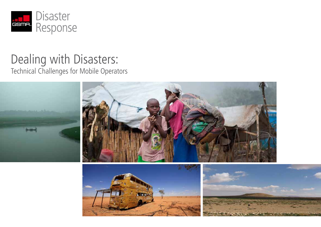

# Dealing with Disasters:

Technical Challenges for Mobile Operators

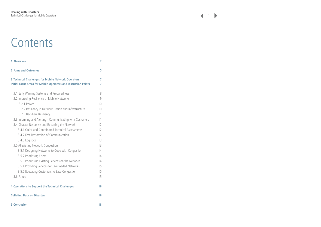# **Contents**

| 1 Overview                         |                                                                                                                              | 2      |
|------------------------------------|------------------------------------------------------------------------------------------------------------------------------|--------|
| 2 Aims and Outcomes                |                                                                                                                              | 5      |
|                                    | 3 Technical Challenges for Mobile Network Operators<br><b>Initial Focus Areas for Mobile Operators and Discussion Points</b> | 7<br>7 |
|                                    | 3.1 Early Warning Systems and Preparedness                                                                                   | 8      |
|                                    | 3.2 Improving Resilience of Mobile Networks                                                                                  | 9      |
| 3.2.1 Power                        |                                                                                                                              | 10     |
|                                    | 3.2.2 Resiliency in Network Design and Infrastructure                                                                        | 10     |
|                                    | 3.2.3 Backhaul Resiliency                                                                                                    | 11     |
|                                    | 3.3 Informing and Alerting - Communicating with Customers                                                                    | 11     |
|                                    | 3.4 Disaster Response and Repairing the Network                                                                              | 12     |
|                                    | 3.4.1 Quick and Coordinated Technical Assessments                                                                            | 12     |
|                                    | 3.4.2 Fast Restoration of Communication                                                                                      | 12     |
| 3.4.3 Logistics                    |                                                                                                                              | 13     |
|                                    | 3.5 Alleviating Network Congestion                                                                                           | 13     |
|                                    | 3.5.1 Designing Networks to Cope with Congestion                                                                             | 14     |
| 3.5.2 Prioritising Users           |                                                                                                                              | 14     |
|                                    | 3.5.3 Prioritising Existing Services on the Network                                                                          | 14     |
|                                    | 3.5.4 Providing Services for Overloaded Networks                                                                             | 15     |
|                                    | 3.5.5 Educating Customers to Ease Congestion                                                                                 | 15     |
| 3.6 Future                         |                                                                                                                              | 15     |
|                                    | 4 Operations to Support the Technical Challenges                                                                             | 16     |
| <b>Collating Data on Disasters</b> |                                                                                                                              | 16     |
| <b>5 Conclusion</b>                |                                                                                                                              | 18     |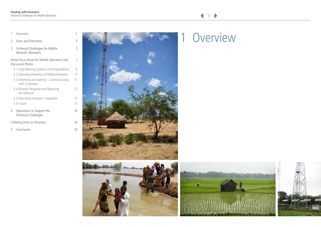#### <span id="page-2-0"></span>1 Overview 2

| 2                                  | Aims and Outcomes                                                        | 5  |
|------------------------------------|--------------------------------------------------------------------------|----|
| 3                                  | <b>Technical Challenges for Mobile</b><br>Network Operators              | 7  |
|                                    | Initial Focus Areas for Mobile Operators and<br><b>Discussion Points</b> | 7  |
|                                    | 3.1 Early Warning Systems and Preparedness                               | 8  |
|                                    | 3.2 Improving Resilience of Mobile Networks                              | 9  |
|                                    | 3.3 Informing and Alerting - Communicating<br>with Customers             | 11 |
|                                    | 3.4 Disaster Response and Repairing<br>the Network                       | 12 |
|                                    | 3.5 Alleviating Network Congestion                                       | 13 |
|                                    | 3.6 Future                                                               | 15 |
| 4                                  | Operations to Support the<br><b>Technical Challenges</b>                 | 16 |
| <b>Collating Data on Disasters</b> |                                                                          |    |

- 
- 5 [Conclusion 18](#page-18-0)







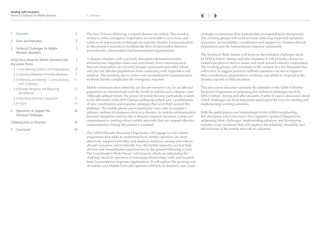$\blacktriangleright$ 

| 1              | Overview                                                                 | 2  |
|----------------|--------------------------------------------------------------------------|----|
| $\mathfrak{I}$ | Aims and Outcomes                                                        | 5  |
| 3              | <b>Technical Challenges for Mobile</b><br><b>Network Operators</b>       | 7  |
|                | Initial Focus Areas for Mobile Operators and<br><b>Discussion Points</b> | 7  |
|                | 3.1 Early Warning Systems and Preparedness                               | 8  |
|                | 3.2 Improving Resilience of Mobile Networks                              | 9  |
|                | 3.3 Informing and Alerting - Communicating<br>with Customers             | 11 |
|                | 3.4 Disaster Response and Repairing<br>the Network                       | 12 |
|                | 3.5 Alleviating Network Congestion                                       | 13 |
|                | 3.6 Future                                                               | 15 |
| 4              | Operations to Support the<br><b>Technical Challenges</b>                 | 16 |
|                | <b>Collating Data on Disasters</b>                                       | 16 |
| 5              | Conclusion                                                               | 18 |

The first 72 hours following a natural disaster are critical. This window of time is when emergency responders are most able to save lives, and when swift assessments of damage are urgently needed. Communication in this period is essential to facilitate the flow of information between governments, communities and humanitarian organisations.

A disaster situation with a severely disrupted telecommunication infrastructure magnifies chaos and uncertainty. Poor communication between responders can severely hamper assessment and relief efforts, and prevent affected populations from connecting with responders and relatives. The resulting rise in ad-hoc and uncoordinated communication methods further complicates the emergency response.

Mobile communication networks are the pre-eminent way for an affected population to communicate with the world in and beyond a disaster zone. Although utilised before, the power of mobile became particularly evident in the aftermath of the 2010 Haitian earthquake which saw a proliferation of new coordination and response strategies that were built around this platform. The mobile phone and in particular voice calls are people's primary method of communication in a disaster. As mobile communication becomes ubiquitous and its role in disaster response increases, a renewed commitment to creating robust mobile networks that can support effective communication during this period is essential.

The GSMA Disaster Response Programme will engage in a two-tiered programme that seeks to understand how mobile operators can most effectively support each other and improve resilience among networks in disaster scenarios, and to identify how the mobile industry can best help citizens and humanitarian organisations on the ground following a crisis. The Coordination Work Stream will focus its efforts on addressing the challenge faced by operators in managing relationships with, and requests from, humanitarian response organisations. It will explore the growing role of mobiles and Mobile Network Operators (MNOs) in disasters, and create

strategies to maximise their participation in responding to emergencies. The working groups will work towards achieving improved standards of practice, accountability, coordination and support for disaster-affected populations and the humanitarian response community.

The Technical Work Stream will focus on the technical challenges faced by MNOs before, during and after disasters. It will provide a forum for mobile operators to discuss issues and work toward industry cooperation. The working groups will contribute to the creation of a live blueprint that will evolve to suggest practical methods operators can use to improve their coordination, preparedness, resilience and ability to respond to the disasters specific to their locations.

This discussion document presents the intention of the GSMA Disaster Response Programme in proposing key technical challenges faced by MNOs before, during and after disasters. It aims to open a discussion about which challenges are most important and to pave the way for creating and implementing working solutions.

With the participation and commitment of the GSMA membership, this document will evolve into a live, regularly updated blueprint for addressing these challenges, implementing solutions and developing industry-wide standards that will improve the reliability, durability and effectiveness of the mobile network in a disaster.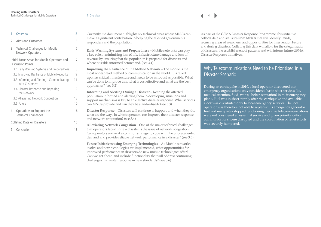| 1             | Overview                                                                 | 2  |
|---------------|--------------------------------------------------------------------------|----|
| $\mathcal{P}$ | Aims and Outcomes                                                        | 5  |
| 3             | <b>Technical Challenges for Mobile</b><br>Network Operators              | 7  |
|               | Initial Focus Areas for Mobile Operators and<br><b>Discussion Points</b> | 7  |
|               | 3.1 Early Warning Systems and Preparedness                               | 8  |
|               | 3.2 Improving Resilience of Mobile Networks                              | 9  |
|               | 3.3 Informing and Alerting - Communicating<br>with Customers             | 11 |
|               | 3.4 Disaster Response and Repairing<br>the Network                       | 12 |
|               | 3.5 Alleviating Network Congestion                                       | 13 |
|               | 3.6 Future                                                               | 15 |
| 4             | Operations to Support the<br><b>Technical Challenges</b>                 | 16 |
|               | Collating Data on Disasters                                              | 16 |

5 [Conclusion 18](#page-18-0)

Currently the document highlights six technical areas where MNOs can make a significant contribution to helping the affected governments, responders and the population:

**Early Warning Systems and Preparedness** – Mobile networks can play a key role in minimising loss of life, infrastructure damage and loss of revenue by ensuring that the population is prepared for disasters and where possible informed beforehand. (see 3.1)

**Improving the Resilience of the Mobile Network** – The mobile is the most widespread method of communication in the world. It is relied upon as critical infrastructure and needs to be as robust as possible. What can be done to improve this, what is cost effective and what are the best approaches? (see 3.2)

**Informing and Alerting During a Disaster** – Keeping the affected population informed and alerting them to developing situations and support mechanisms is key to an effective disaster response. What services can MNOs provide and can they be standardised? (see 3.3)

**Disaster Response** – Disasters will continue to happen, and when they do, what are the ways in which operators can improve their disaster response and network restoration? (see 3.4)

**Alleviating Network Congestion** – One of the major technical challenges that operators face during a disaster is the issue of network congestion. Can operators arrive at a common strategy to cope with the unprecedented demand and provide reliable network performance in a disaster? (see 3.5)

**Future Initiatives using Emerging Technologies** – As Mobile networks evolve and new technologies are implemented, what opportunities for improved performance in disasters do new mobile technologies offer? Can we get ahead and include functionality that will address continuing challenges in disaster response in new standards? (see 3.6)

As part of the GSMA Disaster Response Programme, this initiative collects data and statistics from MNOs that will identify trends, recurring areas of weakness, and opportunities for intervention before and during disasters. Collating this data will allow for the categorisation of disasters, the establishment of patterns and will inform future GSMA Disaster Response initiatives.

## Why Telecommunications Need to be Prioritised in a Disaster Scenario

During an earthquake in 2010, a local operator discovered that emergency organisations only considered basic relief services (i.e. medical attention, food, water, shelter, sanitation) in their emergency plans. Fuel was in short supply after the earthquake and available stock was distributed only to local emergency services. The local operator was therefore not able to replenish its emergency generator fuel and many sites stopped functioning. Because telecommunications were not considered an essential service and given priority, critical communications were disrupted and the coordination of relief efforts was severely hampered.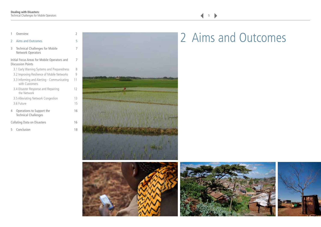<span id="page-5-0"></span>

| 1             | Overview                                                                 |    |
|---------------|--------------------------------------------------------------------------|----|
| $\mathcal{P}$ | <b>Aims and Outcomes</b>                                                 | 5  |
| 3             | <b>Technical Challenges for Mobile</b><br><b>Network Operators</b>       | 7  |
|               | Initial Focus Areas for Mobile Operators and<br><b>Discussion Points</b> | 7  |
|               | 3.1 Early Warning Systems and Preparedness                               | 8  |
|               | 3.2 Improving Resilience of Mobile Networks                              | q  |
|               | 3.3 Informing and Alerting - Communicating<br>with Customers             | 11 |
|               | 3.4 Disaster Response and Repairing<br>the Network                       | 12 |
|               | 3.5 Alleviating Network Congestion                                       | 13 |
|               | 3.6 Future                                                               | 15 |
| 4             | Operations to Support the<br><b>Technical Challenges</b>                 | 16 |
|               | <b>Collating Data on Disasters</b>                                       | 16 |

5 [Conclusion 18](#page-18-0)





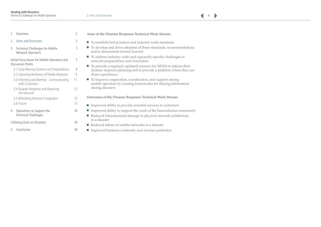$\blacktriangleright$ 

| 1             | Overview                                                                 | $\overline{2}$ | Aims of        |
|---------------|--------------------------------------------------------------------------|----------------|----------------|
| $\mathcal{P}$ | <b>Aims and Outcomes</b>                                                 | 5              | To est         |
| 3             | <b>Technical Challenges for Mobile</b><br><b>Network Operators</b>       | 7              | To de<br>and t |
|               | Initial Focus Areas for Mobile Operators and<br><b>Discussion Points</b> | 7              | To ad<br>netw  |
|               | 3.1 Early Warning Systems and Preparedness                               | 8              | To pr<br>disas |
|               | 3.2 Improving Resilience of Mobile Networks                              | 9              | share          |
|               | 3.3 Informing and Alerting - Communicating<br>with Customers             | 11             | To im<br>mobi  |
|               | 3.4 Disaster Response and Repairing<br>the Network                       | 12             | durin          |
|               | 3.5 Alleviating Network Congestion                                       | 13             | Outcom         |
|               | 3.6 Future                                                               | 15             | Impro          |
| 4             | Operations to Support the                                                | 16             | Impro          |
|               | <b>Technical Challenges</b>                                              |                | Redu           |
|               | Collating Data on Disasters                                              | 16             | in a d         |
|               |                                                                          |                | Redu           |
| 5             | Conclusion                                                               | 18             | Impro          |

- **Aims of the Disaster Response Technical Work Stream:**
- tablish best practices and industry-wide standards
- evelop and drive adoption of these standards, recommendations, to disseminate lessons learned
- ddress industry-wide and regionally-specific challenges in vork preparedness and restoration
- rovide a regularly updated resource for MNOs to inform their ster response planning and to provide a platform where they can experiences
- prove cooperation, coordination, and support among ile operators by creating frameworks for sharing information ng disasters

**Outcomes of the Disaster Response Technical Work Stream:**

- roved ability to provide essential services to customers
- roved ability to support the work of the humanitarian community
- aced infrastructural damage to physical network architecture lisaster
- a Reduced failure of mobile networks in a disaster
- roved business continuity and revenue protection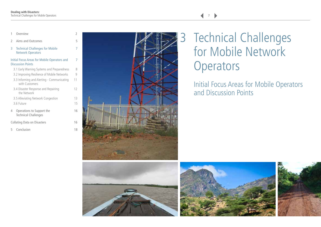2

<span id="page-7-0"></span>1 [Overview](#page-2-0)

| 2 | Aims and Outcomes                                                        | 5  |
|---|--------------------------------------------------------------------------|----|
| 3 | <b>Technical Challenges for Mobile</b><br><b>Network Operators</b>       | 7  |
|   | Initial Focus Areas for Mobile Operators and<br><b>Discussion Points</b> | 7  |
|   | 3.1 Early Warning Systems and Preparedness                               | 8  |
|   | 3.2 Improving Resilience of Mobile Networks                              | q  |
|   | 3.3 Informing and Alerting - Communicating<br>with Customers             | 11 |
|   | 3.4 Disaster Response and Repairing<br>the Network                       | 12 |
|   | 3.5 Alleviating Network Congestion                                       | 13 |
|   | 3.6 Future                                                               | 15 |
|   |                                                                          |    |

4 [Operations to Support the 16](#page-16-0) Technical Challenges

[Collating Data on Disasters 16](#page-16-0)

5 [Conclusion 18](#page-18-0)



# 3 Technical Challenges for Mobile Network **Operators**

Initial Focus Areas for Mobile Operators and Discussion Points





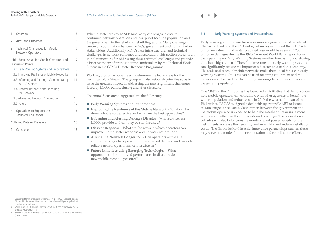$\blacktriangleright$ 

| 2 Aims and Outcomes               |  |
|-----------------------------------|--|
| 3 Technical Challenges for Mobile |  |

Network Operators

[Initial Focus Areas for Mobile Operators and 7](#page-7-0) Discussion Points

3.1 Early Warning Systems and Preparedness 8

<span id="page-8-0"></span>1 [Overview](#page-2-0) 2

| 3.2 Improving Resilience of Mobile Networks                  | g  |
|--------------------------------------------------------------|----|
| 3.3 Informing and Alerting - Communicating<br>with Customers | 11 |
| 3.4 Disaster Response and Repairing<br>the Network           | 12 |
| 3.5 Alleviating Network Congestion                           | 13 |
| 3.6 Future                                                   | 15 |
|                                                              |    |

- 4 [Operations to Support the 16](#page-16-0) Technical Challenges
- [Collating Data on Disasters 16](#page-16-0)
- 5 [Conclusion 18](#page-18-0)

When disaster strikes, MNOs face many challenges to ensure continued network operation and to support both the population and the government in the relief and rebuilding efforts. Many challenges centre on coordination between MNOs, government and humanitarian stakeholders. Additionally, MNOs face infrastructural and technical challenges in network resilience and restoration. This section presents an initial framework for addressing these technical challenges and provides a brief overview of proposed topics undertaken by the Technical Work Stream in the GSMA Disaster Response Programme.

Working group participants will determine the focus areas for the Technical Work Stream. The group will also establish priorities so as to have the greatest impact in addressing the most significant challenges faced by MNOs before, during and after disasters.

The initial focus areas suggested are the following:

- **Early Warning Systems and Preparedness**
- **Improving the Resilience of the Mobile Network** What can be done, what is cost effective and what are the best approaches?
- **Informing and Alerting During a Disaster** What services can MNOs provide and can they be standardised?
- **Disaster Response** What are the ways in which operators can improve their disaster response and network restoration?
- **Alleviating Network Congestion** Can operators arrive at a common strategy to cope with unprecedented demand and provide reliable network performance in a disaster?
- **Future Initiatives using Emerging Technologies** What opportunities for improved performance in disasters do new mobile technologies offer?

#### **3.1 Early Warning Systems and Preparedness**

Early warning and preparedness measures are generally cost beneficial. The World Bank and the US Geological survey estimated that a US\$40 billion investment in disaster preparedness would have saved \$280 billion in damages during the 1990s.<sup>:</sup> A recent World Bank report found that spending on Early Warning Systems weather forecasting and sharing data have high returns.<sup>ii</sup> Therefore investment in early warning systems can significantly reduce the impact of a disaster on a nation's economy. The scale and reach of mobile networks make them ideal for use in early warning systems. Cell sites can be used for siting equipment and the networks can be used for distributing warnings to both responders and the general population.

One MNO in the Philippines has launched an initiative that demonstrates how mobile operators can coordinate with other agencies to benefit the wider population and reduce costs. In 2010, the weather bureau of the Philippines, PAGASA, signed a deal with operator SMART to locate 60 rain gauges at cell sites. Cooperation between the government and the mobile operator is expected to help the weather bureau issue more accurate and effective flood forecasts and warnings. The co-location at cell sites will also help to ensure uninterrupted power supply for the instruments, increase their security and reliability, and reduce installation costs.iii The first of its kind in Asia, innovative partnerships such as these may serve as a model for other cooperation and coordination efforts.

- Department for International Development (DFID). (2005). Natural Disaster and [Disaster Risk Reduction Measures. From: http://www.dfid.gov.uk/pubs/files/](http://www.dfid.gov.uk/pubs/files/disaster-risk-reduction-study.pdf)  disaster-risk-reduction-study.pdf
- ii World Bank. (2010). Natural Hazards, UnNatural Disasters: The Economics of Effective Prevention. p118.
- iii SMART. (5 Oct 2010). PAGASA taps Smart for co-location of weather instruments [Press Release].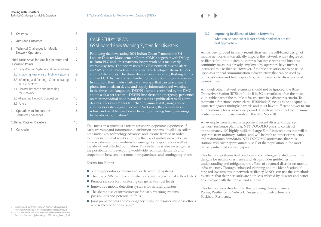<span id="page-9-0"></span>

| 1                           | Overview                                                                 | 2  |
|-----------------------------|--------------------------------------------------------------------------|----|
| 2                           | Aims and Outcomes                                                        | 5  |
| 3                           | <b>Technical Challenges for Mobile</b><br>Network Operators              | 7  |
|                             | Initial Focus Areas for Mobile Operators and<br><b>Discussion Points</b> | 7  |
|                             | 3.1 Early Warning Systems and Preparedness                               | 8  |
|                             | 3.2 Improving Resilience of Mobile Networks                              | 9  |
|                             | 3.3 Informing and Alerting - Communicating<br>with Customers             | 11 |
|                             | 3.4 Disaster Response and Repairing<br>the Network                       | 12 |
|                             | 3.5 Alleviating Network Congestion                                       | 13 |
|                             | 3.6 Future                                                               | 15 |
| 4                           | Operations to Support the<br><b>Technical Challenges</b>                 | 16 |
| Collating Data on Disasters |                                                                          |    |

5 [Conclusion 18](#page-18-0)

# CASE STUDY: DEWN GSM-based Early Warning System for Disasters

Following the devastating 2004 Indian Ocean Tsunami, the Sri Lankan Disaster Management Centre (DMC), together with Dialog telekom PLC and other partners, began work on a mass early warning system. The system uses the GSM network to send alerts via SMS and cell broadcasting to specially developed alarm devices and mobile phones. The alarm device contains a siren, flashing lamps and an LCD display and is intended for public buildings and spaces. In addition, they made available a Java app that can turn a smart phone into an alarm device and supply information and warnings in the three local languages. DEWN access is controlled by the DMC and in a disaster scenario, DEWN first alerts the emergency personnel on their individual phones and then sends a public alert to all alarm devices. This system was launched in January 2009; now, should another devastating event occur in Sri Lanka, the country has a robust and reliable way to save lives by providing timely warnings to the at-risk population.<sup>iv</sup>

This focus area provides a forum for sharing operator experience of early warning and information distribution systems. It will also collate new initiatives, technology advances and lessons learned in order to understand what works and how the use of mobile networks can improve disaster preparedness for emergency responders as well as the at-risk and affected population. This initiative is also investigating the possibility for developing worldwide technical standards and cooperation between operators in preparedness and contingency plans.

#### Discussion Points:

- Sharing operator experiences of early warning systems
- The role of MNOs in hazard detection systems (earthquake, flood, etc.)
- Remote sensors for monitoring cell generator fuel levels
- Innovative mobile detection systems for natural disasters
- The shared use of infrastructure for early warning systems possibilities and potential pitfalls
- Joint preparedness and contingency plans for disaster response efforts – possible and/or desirable?

## **3.2 Improving Resilience of Mobile Networks**

What can be done, what is cost effective and what are the best approaches?

As has been proved in many recent disasters, the cell-based design of mobile networks automatically imparts the network with a degree of resilience. Multiple switching centres, backup circuits and business continuity measures already employed by operators have further increased this resilience. However, if mobile networks are to be relied upon as a critical communication infrastructure that can be used by both customers and first responders, their resilience to disasters must be maximised.

Although other network elements should not be ignored, the Base Transceiver Station (BTS) or Node B in 3G networks is often the most vulnerable part of the mobile infrastructure in a disaster scenario. To maintain a functional network the BTS(Node B) needs to be adequately protected against multiple hazards and must have sufficient power to run autonomously for a prescribed period. Therefore, any effort to maximise resilience should focus mainly on the BTS(Node B).

An example from Japan: in response to recent disaster-influenced network resilience planning, NTT DOCOMO plans to construct approximately 100 highly resilient 'Large Zone' base stations that will be separate from ordinary stations and will be built to superior resiliency and redundancy standards. NTT DOCOMO anticipates that these stations will cover approximately 35% of the population in the most densely inhabited areas of Japan.<sup>v</sup>

This focus area shares best practices and challenges related to technical designs for network resilience and also provides guidelines for understanding and mitigating the effects of a natural disaster on mobile infrastructure. Through enhanced planning and the identification of targeted investments in network resiliency, MNOs can use these methods to ensure that their networks are both less affected by disaster and better able to cope with the impact and aftermath.

This focus area is divided into the following three sub areas: Power, Resiliency in Network Design and Infrastructure, and Backhaul Resiliency.

- iv Dialog. (n.d.). Disaster and Emergency Warning Network (DEWN). [From http://www.dialog.lk/about/responsibility/outreach-cr/dewn/](http://www.dialog.lk/about/responsibility/outreach-cr/dewn/)
- v NTT DOCOMO. (28 April 2011). New Disaster Preparedness Measures. [From: http://www.ntt.co.jp/ir/tohoku\\_e/pdf/20110428\\_docomo\\_2.pdf](http://www.ntt.co.jp/ir/tohoku_e/pdf/20110428_docomo_2.pdf)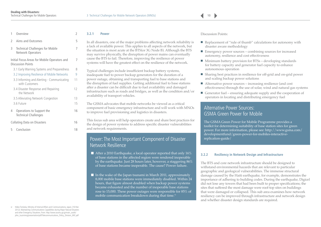<span id="page-10-0"></span>

| 1              | Overview                                                                 | 2  |
|----------------|--------------------------------------------------------------------------|----|
| $\mathfrak{I}$ | Aims and Outcomes                                                        | 5  |
| 3              | <b>Technical Challenges for Mobile</b><br>Network Operators              | 7  |
|                | Initial Focus Areas for Mobile Operators and<br><b>Discussion Points</b> | 7  |
|                | 3.1 Early Warning Systems and Preparedness                               | 8  |
|                | 3.2 Improving Resilience of Mobile Networks                              | 9  |
|                | 3.3 Informing and Alerting - Communicating<br>with Customers             | 11 |
|                | 3.4 Disaster Response and Repairing<br>the Network                       | 12 |
|                | 3.5 Alleviating Network Congestion                                       | 13 |
|                | 3.6 Future                                                               | 15 |
| 4              | Operations to Support the<br><b>Technical Challenges</b>                 | 16 |
|                | Collating Data on Disasters                                              | 16 |

5 [Conclusion 18](#page-18-0)

#### **3.2.1 Power**

In all disasters, one of the major problems affecting network reliability is a lack of available power. This applies to all aspects of the network, but the situation is most acute at the BTS(or 3G Node B). Although the BTS may survive physically, the disruption of power mains can eventually cause the BTS to fail. Therefore, improving the resilience of power systems will have the greatest effect on the resilience of the network.

Typical challenges include insufficient backup battery systems, inadequate fuel to power backup generators for the duration of a power outage, obtaining and transporting fuel to base stations and the disruption of fuel supplies. Getting additional fuel to base stations after a disaster can be difficult due to fuel availability and damaged infrastructure such as roads and bridges, as well as the condition and/or availability of transport vehicles.

The GSMA advocates that mobile networks be viewed as a critical component of basic emergency infrastructure and will work with MNOs to improve fuel provisioning and logistics in disasters.

This focus sub area will help operators create and share best practices for the design of power systems to address specific disaster vulnerabilities and network requirements.

## Power: The Most Important Component of Disaster Network Resilience

- **E** After a 2010 Earthquake, a local operator reported that only  $16\%$ of base stations in the affected region were rendered inoperable by the earthquake. Just 28 hours later, however, a staggering 86% of base stations became inoperable. The cause? Power failure.
- $\blacksquare$  In the wake of the Japan tsunami in March 2011, approximately 8,000 mobile base stations were immediately disabled. Within 24 hours, that figure almost doubled when backup power systems became exhausted and the number of inoperable base stations rose to 15,000. These power outages were responsible for 85% of mobile communication breakdown during that time.<sup>vi</sup>

Discussion Points:

- Replacement of "rule of thumb" calculations for autonomy with disaster aware methodology
- Emergency power sources combining sources for increased autonomy, resilience and cost effectiveness
- Minimum battery provision for BTSs developing standards for battery capacity and generator fuel capacity to enhance autonomous operation
- Sharing best practices in resilience for off-grid and on-grid power and scaling backup power solutions
- Alternative power sources increasing resilience (and cost effectiveness) through the use of solar, wind and natural gas systems
- $\blacksquare$  Generator fuel ensuring adequate supply and the cooperation of operators in locating and distributing emergency fuel

# Alternative Power Sources: GSMA Green Power for Mobile

The GSMA Green Power for Mobile Programme provides a toolkit for determining suitability of base station sites for green power. For more information, please see: http://www.gsma.com/ developmentfund/green-power-for-mobiles-interactivereplication-guide/

#### **3.2.2 Resiliency in Network Design and Infrastructure**

The BTS and core network infrastructure should be designed to withstand environmental hazards that are relevant to particular geographic and geological vulnerabilities. The immense structural damage caused by the Haiti earthquake, for example, demonstrates the importance of adhering to building codes. During the earthquake, Digicel did not lose any towers that had been built to proper specifications; the sites that suffered the most damage were roof-top sites on buildings that were damaged or collapsed. This sub area examines how network resiliency can be improved through infrastructure and network design and whether disaster design standards are required.

vi Hideo Tomioka, Ministry of Internal Affairs and Communications, Japan. (16 Mar 2012). Maintaining Communications Capabilities during Major Natural Disasters and other Emergency Situations. From: http://www.soumu.go.jp/main\_sosiki/ [joho\\_tsusin/eng/presentation/pdf/Telecommunications\\_Policy\\_Division\\_MIC.pdf](http://www.soumu.go.jp/main_sosiki/joho_tsusin/eng/presentation/pdf/Telecommunications_Policy_Division_MIC.pdf)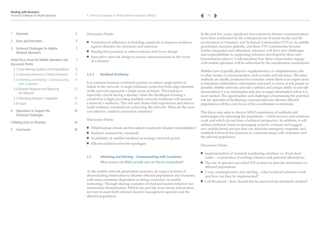<span id="page-11-0"></span>

| Overview |  |  |
|----------|--|--|
|----------|--|--|

# 2 [Aims and Outcomes 5](#page-5-0)

3 [Technical Challenges for Mobile 7](#page-7-0)  Network Operators

#### [Initial Focus Areas for Mobile Operators and 7](#page-7-0) Discussion Points

- [3.1 Early Warning Systems and Preparedness 8](#page-8-0) 3.2 Improving Resilience of Mobile Networks 9 3.3 Informing and Alerting - Communicating 11 with Customers [3.4 Disaster Response and Repairing 12](#page-12-0) the Network [3.5 Alleviating Network Congestion 13](#page-13-0) [3.6 Future 15](#page-15-0) 4 [Operations to Support the 16](#page-16-0)
- Technical Challenges
- [Collating Data on Disasters 16](#page-16-0)
- 5 [Conclusion 18](#page-18-0)

#### Discussion Points:

- Promotion of adherence to building standards to improve resilience against disasters for structures and antennas
- Sharing best practices in robust antenna and tower design
- Innovative network design to secure communications in the event of a disaster

#### **3.2.3 Backhaul Resiliency**

It is common business continuity practice to reduce single points of failure in the network. A single backhaul connection from edge elements of the network represents a single point of failure. This backup is especially crucial during a disaster, when the likelihood of losing a connection is high; providing multiple network backhauls will increase a network's resilience. This sub area shares field experiences and aims to build resiliency standards for connecting the network. What are the most cost-effective, resilient connection solutions?

Discussion Points:

- Which backup circuits are best suited to particular disaster vulnerabilities?
- Resilient connectivity standards
- Availability of satellite backhaul at strategic network points
- Efficient resilient network topologies

#### **3.3 Informing and Alerting - Communicating with Customers** What services can MNOs provide and can they be standardised?

As the mobile network penetration increases, its impact in terms of disseminating information to disaster-affected populations also increases, with more customers dependent on being connected via mobile technology. Through sharing examples of tried-and-tested initiatives for information dissemination, MNOs can provide more timely information services to assist both national disaster management agencies and the affected population.

In the past few years, significant innovations in disaster communications have been accelerated by the widespread use of social media and the involvement of Volunteer and Technical Communities (VTCs). As mobile penetration increases globally, and these VTC communities become further integrated and influential, operators will have new challenges and responsibilities in supporting solutions developed by these new humanitarian players. Understanding how these communities engage with mobile operators will be addressed by the coordination workstream.

Mobiles have typically played a supplementary or complementary role to other modes of communication, such as radio and television. The latter methods are ideally positioned for scenarios where there is an urgent need to broadcast authoritative information and reach as many at-risk people as possible. Mobile networks provide a distinct and unique ability to provide decentralised 2-way information and also to target information where it is most needed. The opportunities and challenges of harnessing the potential role for operators in facilitating communication for disaster-affected populations will be a core focus of the coordination workstream.

This focus area aims to discuss MNO experiences of methods and technologies for informing the population – which services and solutions work and which do not from a technical perspective. In addition, it will address technical issues in messaging systems, evaluate and suggest new mobile-based services that can assist the emergency response, and establish technical best practices in communicating with customers and the affected population.

#### Discussion Points:

- Implementation of standard numbering solutions i.e. fixed short codes – examination of existing schemes and potential alternatives
- The use of operator provided IVR systems to provide information to affected populations
- 2-way communication and alerting what technical solutions work and how can they be implemented?
- $\blacksquare$  Cell Broadcast how should this be used and are standards needed?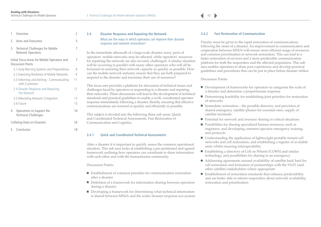<span id="page-12-0"></span>

| 1             | Overview                                                                 | 2  |
|---------------|--------------------------------------------------------------------------|----|
| $\mathcal{I}$ | Aims and Outcomes                                                        | 5  |
| 3             | <b>Technical Challenges for Mobile</b><br>Network Operators              | 7  |
|               | Initial Focus Areas for Mobile Operators and<br><b>Discussion Points</b> | 7  |
|               | 3.1 Early Warning Systems and Preparedness                               | 8  |
|               | 3.2 Improving Resilience of Mobile Networks                              | 9  |
|               | 3.3 Informing and Alerting - Communicating<br>with Customers             | 11 |
|               | 3.4 Disaster Response and Repairing<br>the Network                       | 12 |
|               | 3.5 Alleviating Network Congestion                                       | 13 |
|               | 3.6 Future                                                               | 15 |
| 4             | Operations to Support the<br><b>Technical Challenges</b>                 | 16 |
|               | <b>Collating Data on Disasters</b>                                       | 16 |
| 5             | Conclusion                                                               | 18 |

#### **3.4 Disaster Response and Repairing the Network** What are the ways in which operators can improve their disaster response and network restoration?

In the immediate aftermath of a large-scale disaster many parts of operators' mobile networks may be affected, while operators' resources for repairing the network are also severely challenged. A similar situation will be occurring in parallel with many other operators who will all be focussed on restoring their network capacity as quickly as possible. How can the mobile network industry ensure that they are both prepared to respond to the disaster and maximise their use of resources?

This focus area provides a platform for discussion of technical issues and challenges faced by operators in responding to a disaster and repairing their networks. These discussions will lead to the development of technical standards and practical guidelines to enable a swift, coordinated operator response immediately following a disaster, thereby ensuring that effective communications are restored as quickly and efficiently as possible.

This subject is divided into the following three sub areas: Quick and Coordinated Technical Assessments, Fast Restoration of Communication and Logistics.

#### **3.4.1 Quick and Coordinated Technical Assessments**

After a disaster it is important to quickly assess the common operational situation. This sub area looks at establishing a pre-positioned and agreed framework outlining how operators can coordinate to share information with each other and with the humanitarian community.

#### Discussion Points:

- Establishment of common priorities for communication restoration after a disaster
- Definition of a framework for information sharing between operators during a disaster
- Developing a framework for determining what technical information is shared between MNOs and the wider disaster response eco-system.

#### **3.4.2 Fast Restoration of Communication**

Priority must be given to the rapid restoration of communications following the onset of a disaster. An improvement in communication and cooperation between MNOs will ensure more efficient usage of resources and common prioritisation in network restoration. This can lead to a faster restoration of services and a more predictable communication platform for both the responders and the affected population. This sub area enables operators to share past experiences and develop practical guidelines and procedures that can be put in place before disaster strikes.

#### Discussion Points:

- Development of frameworks for operators to categorise the scale of a disaster and determine a proportionate response
- Determining feasibility for establishing joint priorities for restoration of networks
- Immediate restoration the possible directory and provision of shared emergency satellite phones for essential sites, supply of satellite terminals
- Potential for network and resource sharing in critical situations
- Possibilities for sharing specialised human resources, such as engineers, and developing common operator emergency training and protocols
- Understanding the application of lightweight portable instant cell networks and cell restoration, and establishing a register of available units whilst ensuring interoperability
- Establishing a directory of Cell on Wheels (COWS) and similar technology, and possibilities for sharing in an emergency
- Addressing agreements around availability of satellite back haul for cell restoration and formation of partnerships with the VSAT (and other satellite) stakeholders where appropriate
- Establishment of restoration standards that enhance predictability and are better able to inform responders about network availability, restoration and prioritisation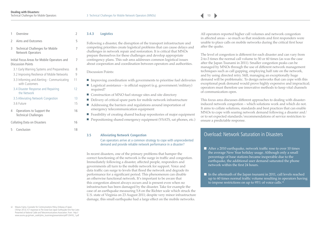| $\mathfrak{I}$ | Aims and Outcomes                                                        | 5  |
|----------------|--------------------------------------------------------------------------|----|
| 3              | <b>Technical Challenges for Mobile</b><br><b>Network Operators</b>       | 7  |
|                | Initial Focus Areas for Mobile Operators and<br><b>Discussion Points</b> | 7  |
|                | 3.1 Early Warning Systems and Preparedness                               | 8  |
|                | 3.2 Improving Resilience of Mobile Networks                              | q  |
|                | 3.3 Informing and Alerting - Communicating<br>with Customers             | 11 |
|                | 3.4 Disaster Response and Repairing<br>the Network                       | 12 |
|                | 3.5 Alleviating Network Congestion                                       | 13 |
|                | 3.6 Future                                                               | 15 |
| 4              | Operations to Support the<br><b>Technical Challenges</b>                 | 16 |
|                | Collating Data on Disasters                                              | 16 |

<span id="page-13-0"></span>1 [Overview](#page-2-0) 2

5 [Conclusion 18](#page-18-0)

#### **3.4.3 Logistics**

Following a disaster, the disruption of the transport infrastructure and competing priorities create logistical problems that can cause delays and challenges in network repair and restoration. It is critical that MNOs prepare themselves for these challenges and develop appropriate contingency plans. This sub area addresses common logistical issues about cooperation and coordination between operators and authorities.

Discussion Points:

- Improving coordination with governments to prioritise fuel deliveries
- Logistical assistance is official support (e.g. government/military) required?
	- Construction of MNO fuel storage sites and site directory
- Delivery of critical spare parts for mobile network infrastructure
- Addressing the barriers and regulations around importation of emergency telecommunication equipment
- Feasibility of creating shared backup repositories of major equipment
- Prepositioning shared emergency equipment (VSATS, sat phones, etc.)

#### **3.5 Alleviating Network Congestion**

Can operators arrive at a common strategy to cope with unprecedented demand and provide reliable network performance in a disaster?

In recent disasters, one of the primary problems that hamper the correct functioning of the network is the surge in traffic and congestion. Immediately following a disaster, affected people, responders and governments all turn to the mobile network for support. Voice and data traffic can surge to levels that flood the network and degrade its performance for a significant period. This phenomenon can disable an otherwise functional network. It's important to be aware that this congestion almost always occurs and is present even when no infrastructure has been damaged by the disaster. Take for example the case of an earthquake measuring 5.8 on the Richter scale which struck the U.S. state of Virginia on 23 August 2011; despite very minor infrastructure damage, this small earthquake had a large effect on the mobile networks.

All operators reported higher call volumes and network congestion in affected areas – so much so that residents and first responders were unable to place calls on mobile networks during the critical first hour after the quake.

The level of congestion is different for each disaster and can vary from 2-to-3 times the normal call volume to 50 or 60 times (as was the case after the Japan Tsunami in 2011). Smaller congestion peaks can be managed by MNOs through the use of different network management techniques such as call gapping, employing half rate on the network, and by using directed retry. Still, managing an exceptionally huge demand will be problematic. To design networks that can cope with this exceptional peak demand would prove highly expensive and impractical; operators must therefore use innovative methods to keep vital channels of communication open.

This focus area discusses different approaches to dealing with disasterinduced network congestion – which solutions work and which do not. It aims to collate solutions, standards and best practices that can enable MNOs to cope with soaring network demand following a disaster and/ or to set expected standards/recommendations of service restriction to ensure a predictable response.

# Overload: Network Saturation in Disasters

■ After a 2010 earthquake, network traffic rose to over 10 times the average New Year holiday usage. Although only a small percentage of base stations became inoperable due to the earthquake, the additional user demand saturated the phone network within the first 24 hours.

 $\blacksquare$  In the aftermath of the Japan tsunami in 2011, call levels reached up to 60 times normal traffic volume resulting in operators having to impose restrictions on up to 95% of voice calls.<sup>vii</sup>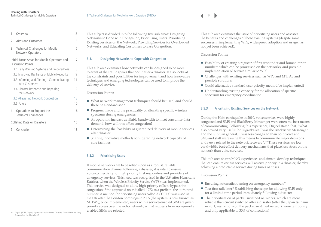$\blacktriangleright$ 

<span id="page-14-0"></span>

| 1  | Overview                                                                 | 2  |
|----|--------------------------------------------------------------------------|----|
| I. | Aims and Outcomes                                                        | 5  |
| 3  | <b>Technical Challenges for Mobile</b><br>Network Operators              | 7  |
|    | Initial Focus Areas for Mobile Operators and<br><b>Discussion Points</b> | 7  |
|    | 3.1 Early Warning Systems and Preparedness                               | 8  |
|    | 3.2 Improving Resilience of Mobile Networks                              | 9  |
|    | 3.3 Informing and Alerting - Communicating<br>with Customers             | 11 |
|    | 3.4 Disaster Response and Repairing<br>the Network                       | 12 |
|    | 3.5 Alleviating Network Congestion                                       | 13 |
|    | 3.6 Future                                                               | 15 |
| 4  | Operations to Support the<br>Technical Challenges                        | 16 |
|    | Collating Data on Disasters                                              | 16 |

5 [Conclusion 18](#page-18-0)

This subject is divided into the following five sub areas: Designing Networks to Cope with Congestion, Prioritising Users, Prioritising Existing Services on the Network, Providing Services for Overloaded Networks, and Educating Customers to Ease Congestion.

#### **3.5.1 Designing Networks to Cope with Congestion**

This sub area examines how networks can be designed to be more tolerant of the traffic spikes that occur after a disaster. It also looks at the constraints and possibilities for improvement and how innovative techniques and emerging technologies can be used to improve the delivery of service.

Discussion Points:

- What network management techniques should be used, and should these be standardised?
- Progress made and the practicality of allocating specific wireless spectrum during emergencies
- As operators increase available bandwidth to meet consumer data demand, how will this affect congestion?
- Determining the feasibility of guaranteed delivery of mobile services after disaster
	- Sharing innovative methods for upgrading network capacity of core facilities

#### **3.5.2 Prioritising Users**

If mobile networks are to be relied upon as a robust, reliable communication channel following a disaster, it is vital to ensure voice connectivity for high priority first responders and providers of emergency services. This need was recognised in the U.S. after Hurricane Katrina, when the Wireless Priority Service (WPS) was implemented. This service was designed to allow high-priority calls to bypass the congestion if the approved user dialled \* 272 as a prefix to the outbound number. A method for prioritising users called ACCOLC was used in the UK after the London bombings in 2005 (the system is now known as MTPAS); once implemented, users with a service-enabled SIM are given priority access over the radio network, whilst requests from non-priority enabled SIMs are rejected.

This sub area examines the issue of prioritising users and assesses the benefits and challenges of these existing systems (despite some successes in implementing WPS, widespread adoption and usage has not yet been achieved).

Discussion Points:

- Feasibility of creating a register of first responder and humanitarian numbers which can be prioritised on the networks, and possible implementation of service similar to WPS
- Challenges with existing services such as WPS and MTPAS and possible solutions
- Could alternative standard user priority method be implemented?
- Understanding existing capacity for the allocation of specific spectrum for emergency coordination

#### **3.5.3 Prioritising Existing Services on the Network**

During the Haiti earthquake in 2010, voice services were highly congested and SMS and BlackBerry Messenger were often the best means of communicating. Following this experience, Digicel stated that, "what also proved very useful for Digicel's staff was the BlackBerry Messenger and the GPRS in general, it was less congested than both voice and SMS and staff were using this means to communicate major decisions and news related to the network recovery". viii These services are low bandwidth, best-effort delivery mechanisms that place less stress on the network than voice services.

This sub area shares MNO experiences and aims to develop techniques that can ensure certain services will receive priority in a disaster, thereby achieving a predictable service during times of crises.

Discussion Points:

- Ensuring automatic roaming on emergency numbers?
- Text first-talk later? Establishing the scope for allowing SMS-only for a limited time period immediately following a disaster
- The prioritisation of packet switched networks, which are more reliable than circuit switched after a disaster (after the Japan tsunami in 2011, restrictions on the packet switched network were temporary and only applicable to 30% of connections)

viii Digicel. (2011, August). Operators Role in Natural Disasters, The Haitian Case Study. Presented at the GSMA BARG.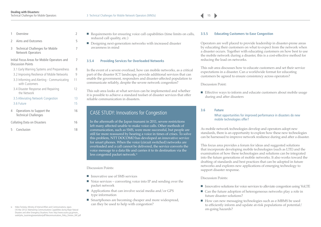| $\sim$ |  |
|--------|--|

<span id="page-15-0"></span>

# 2 [Aims and Outcomes 5](#page-5-0)

3 [Technical Challenges for Mobile 7](#page-7-0)  Network Operators

#### [Initial Focus Areas for Mobile Operators and 7](#page-7-0) Discussion Points

| 3.1 Early Warning Systems and Preparedness                    | 8  |
|---------------------------------------------------------------|----|
| 3.2 Improving Resilience of Mobile Networks                   | q  |
| 3.3 Informing and Alerting - Communicating<br>with Customers  | 11 |
| 3.4 Disaster Response and Repairing<br>the Network            | 12 |
| 3.5 Alleviating Network Congestion                            | 13 |
| 3.6 Future                                                    | 15 |
| Operations to Support the<br>4<br><b>Technical Challenges</b> | 16 |

- [Collating Data on Disasters 16](#page-16-0)
- 5 [Conclusion 18](#page-18-0)

#### ■ Requirements for ensuring voice call capabilities (time limits on calls, reduced call quality, etc.)

■ Designing next-generation networks with increased disaster awareness in mind

#### **3.5.4 Providing Services for Overloaded Networks**

In the event of a severe overload, how can mobile networks, as a critical part of the disaster ICT landscape, provide additional services that can enable the government, responders and disaster-affected population to communicate reliably, despite the severe network congestion?

This sub area looks at what services can be implemented and whether it is possible to achieve a standard toolset of disaster services that offer reliable communication in disasters.

## CASE STUDY: Innovations for Congestion

In the aftermath of the Japan tsunami in 2011, severe restrictions left many affected unable to make voice calls. Other methods of communication, such as SMS, were more successful, but people are still far more reassured by hearing a voice in times of crises. To solve this problem, NTT DOCOMO has developed an innovative service for smart phones. When the voice (circuit switched) networks are overloaded and a call cannot be delivered, the service converts the voice message to a data file and carries it to its destination via the less congested packet network.<sup>ix</sup>

#### Discussion Points:

- Innovative use of SMS services
- Voice services converting voice into IP and sending over the packet network
- Applications that can involve social media and/or GPS type information
- Smartphones are becoming cheaper and more widespread, can they be used to help with congestion?

#### **3.5.5 Educating Customers to Ease Congestion**

Operators are well placed to provide leadership in disaster-prone areas by educating their customers on what to expect from the network when a disaster occurs. Together with educating customers on how best to use the mobile network during a disaster, this is a cost-effective method for reducing the load on networks.

This sub area discusses how to educate customers and set their service expectations in a disaster. Can a worldwide format for educating customers be agreed to ensure consistency across operators?

#### Discussion Point:

■ Effective ways to inform and educate customers about mobile usage during and after disasters

#### **3.6 Future**

What opportunities for improved performance in disasters do new mobile technologies offer?

As mobile network technologies develop and operators adopt new standards, there is an opportunity to explore how these new technologies can be harnessed to improve network resilience during and after a disaster.

This focus area provides a forum for ideas and suggested solutions that incorporate developing mobile technologies (such as LTE) and the examination of how these technologies and solutions can be integrated into the future generations of mobile networks. It also works toward the drafting of standards and best practices that can be adopted in future networks and explores new applications of emerging technology to support disaster response.

#### Discussion Points:

- Innovative solutions for voice services to alleviate congestion using VoLTE
- Can the future adoption of heterogeneous networks play a role in future disaster solutions?
- How can new messaging technologies such as e-MBMS be used to efficiently inform and update at-risk populations of potential/ on-going hazards?

ix Hideo Tomioka, Ministry of Internal Affairs and Communications, Japan. (16 Mar 2012). Maintaining Communications Capabilities during Major Natural Disasters and other Emergency Situations. From: http://www.soumu.go.jp/main\_ [sosiki/joho\\_tsusin/eng/presentation/pdf/Telecommunications\\_Policy\\_Division\\_MIC.pdf](http://www.soumu.go.jp/main_sosiki/joho_tsusin/eng/presentation/pdf/Telecommunications_Policy_Division_MIC.pdf)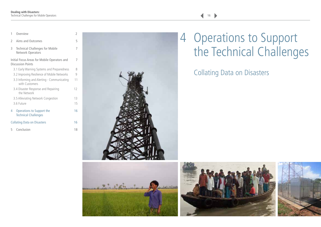<span id="page-16-0"></span>

| 1             | Overview                                                                 | 2  |
|---------------|--------------------------------------------------------------------------|----|
| $\mathcal{P}$ | Aims and Outcomes                                                        | 5  |
| 3             | Technical Challenges for Mobile<br>Network Operators                     | 7  |
|               | Initial Focus Areas for Mobile Operators and<br><b>Discussion Points</b> | 7  |
|               | 3.1 Early Warning Systems and Preparedness                               | 8  |
|               | 3.2 Improving Resilience of Mobile Networks                              | 9  |
|               | 3.3 Informing and Alerting - Communicating<br>with Customers             | 11 |
|               | 3.4 Disaster Response and Repairing<br>the Network                       | 12 |
|               | 3.5 Alleviating Network Congestion                                       | 13 |
|               | 3.6 Future                                                               | 15 |
| 4             | Operations to Support the<br><b>Technical Challenges</b>                 | 16 |
|               | <b>Collating Data on Disasters</b>                                       | 16 |
| 5             | Conclusion                                                               | 18 |



# **Let when**





# 4 Operations to Support the Technical Challenges

# Collating Data on Disasters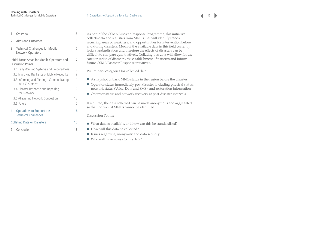| 1             | Overview                                                                 | 2  |
|---------------|--------------------------------------------------------------------------|----|
| $\mathcal{P}$ | Aims and Outcomes                                                        | 5  |
| 3             | <b>Technical Challenges for Mobile</b><br><b>Network Operators</b>       | 7  |
|               | Initial Focus Areas for Mobile Operators and<br><b>Discussion Points</b> | 7  |
|               | 3.1 Early Warning Systems and Preparedness                               | 8  |
|               | 3.2 Improving Resilience of Mobile Networks                              | 9  |
|               | 3.3 Informing and Alerting - Communicating<br>with Customers             | 11 |
|               | 3.4 Disaster Response and Repairing<br>the Network                       | 12 |
|               | 3.5 Alleviating Network Congestion                                       | 13 |
|               | 3.6 Future                                                               | 15 |
| 4             | Operations to Support the<br><b>Technical Challenges</b>                 | 16 |
|               | <b>Collating Data on Disasters</b>                                       | 16 |
| 5             | Conclusion                                                               | 18 |

| As part of the GSMA Disaster Response Programme, this initiative<br>collects data and statistics from MNOs that will identify trends,<br>recurring areas of weakness, and opportunities for intervention before<br>and during disasters. Much of the available data in this field currently<br>lacks standardisation and therefore the effects of disasters can be<br>difficult to compare quantitatively. Collating this data will allow for the<br>categorisation of disasters, the establishment of patterns and inform<br>future GSMA Disaster Response initiatives. |
|--------------------------------------------------------------------------------------------------------------------------------------------------------------------------------------------------------------------------------------------------------------------------------------------------------------------------------------------------------------------------------------------------------------------------------------------------------------------------------------------------------------------------------------------------------------------------|
| Preliminary categories for collected data:                                                                                                                                                                                                                                                                                                                                                                                                                                                                                                                               |
| A snapshot of basic MNO status in the region before the disaster<br>Operator status immediately post disaster, including physical status,<br>network status (Voice, Data and SMS), and restoration information                                                                                                                                                                                                                                                                                                                                                           |
| Operator status and network recovery at post-disaster intervals                                                                                                                                                                                                                                                                                                                                                                                                                                                                                                          |

If required, the data collected can be made anonymous and aggregated so that individual MNOs cannot be identified.

Discussion Points:

- What data is available, and how can this be standardised?
- How will this data be collected?
- Issues regarding anonymity and data security
- Who will have access to this data?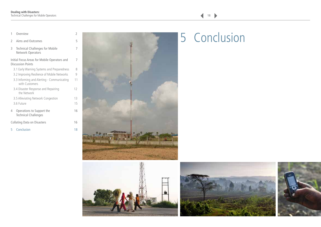|                |                                                                          | ∠  |
|----------------|--------------------------------------------------------------------------|----|
| $\overline{2}$ | Aims and Outcomes                                                        | 5  |
| 3              | <b>Technical Challenges for Mobile</b><br>Network Operators              | 7  |
|                | Initial Focus Areas for Mobile Operators and<br><b>Discussion Points</b> | 7  |
|                | 3.1 Early Warning Systems and Preparedness                               | 8  |
|                | 3.2 Improving Resilience of Mobile Networks                              | 9  |
|                | 3.3 Informing and Alerting - Communicating<br>with Customers             | 11 |
|                | 3.4 Disaster Response and Repairing<br>the Network                       | 12 |
|                | 3.5 Alleviating Network Congestion                                       | 13 |
|                | 3.6 Future                                                               | 15 |
| 4              | Operations to Support the<br><b>Technical Challenges</b>                 | 16 |
|                | Collating Data on Disasters                                              | 16 |
| 5              | Conclusion                                                               | 18 |

<span id="page-18-0"></span>





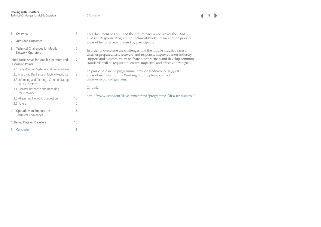**19** 

| Disaster Response Programme Technical Work Stream and the priority<br>5<br>Aims and Outcomes<br>areas of focus to be addressed by participants.                                                                                  |  |
|----------------------------------------------------------------------------------------------------------------------------------------------------------------------------------------------------------------------------------|--|
| <b>Technical Challenges for Mobile</b><br>3<br>In order to overcome the challenges that the mobile industry faces in<br>Network Operators<br>disaster preparedness, recovery and response, improved inter-industry               |  |
| support and a commitment to share best practices and develop common<br>Initial Focus Areas for Mobile Operators and<br>7<br>standards will be required to ensure impactful and effective strategies.<br><b>Discussion Points</b> |  |
| 3.1 Early Warning Systems and Preparedness<br>8<br>To participate in the programme, provide feedback, or suggest                                                                                                                 |  |
| 3.2 Improving Resilience of Mobile Networks<br>9<br>areas of inclusion for the Working Group, please contact                                                                                                                     |  |
| disasterresponse@gsm.org.<br>3.3 Informing and Alerting - Communicating<br>11<br>with Customers                                                                                                                                  |  |
| Or visit:<br>12<br>3.4 Disaster Response and Repairing<br>the Network                                                                                                                                                            |  |
| http://www.gsma.com/developmentfund/programmes/disaster-response/<br>13<br>3.5 Alleviating Network Congestion                                                                                                                    |  |
| 3.6 Future<br>15                                                                                                                                                                                                                 |  |
| Operations to Support the<br>16<br>4<br><b>Technical Challenges</b>                                                                                                                                                              |  |
| <b>Collating Data on Disasters</b><br>16                                                                                                                                                                                         |  |
| Conclusion<br>18                                                                                                                                                                                                                 |  |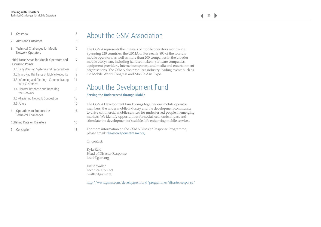| 1                                                                        | Overview                                                     | 2  |
|--------------------------------------------------------------------------|--------------------------------------------------------------|----|
| $\mathfrak{I}$                                                           | Aims and Outcomes                                            | 5  |
| 3                                                                        | <b>Technical Challenges for Mobile</b><br>Network Operators  | 7  |
| Initial Focus Areas for Mobile Operators and<br><b>Discussion Points</b> |                                                              | 7  |
|                                                                          | 3.1 Early Warning Systems and Preparedness                   | 8  |
|                                                                          | 3.2 Improving Resilience of Mobile Networks                  | 9  |
|                                                                          | 3.3 Informing and Alerting - Communicating<br>with Customers | 11 |
|                                                                          | 3.4 Disaster Response and Repairing<br>the Network           | 12 |
|                                                                          | 3.5 Alleviating Network Congestion                           | 13 |
| 3.6 Future                                                               |                                                              | 15 |
| 4                                                                        | Operations to Support the<br><b>Technical Challenges</b>     | 16 |
| <b>Collating Data on Disasters</b>                                       |                                                              | 16 |
| 5.                                                                       | Conclusion                                                   | 18 |

# About the GSM Association

The GSMA represents the interests of mobile operators worldwide. Spanning 220 countries, the GSMA unites nearly 800 of the world's mobile operators, as well as more than 200 companies in the broader mobile ecosystem, including handset makers, software companies, equipment providers, Internet companies, and media and entertainment organisations. The GSMA also produces industry-leading events such as the Mobile World Congress and Mobile Asia Expo.

# About the Development Fund

#### **Serving the Underserved through Mobile**

The GSMA Development Fund brings together our mobile operator members, the wider mobile industry and the development community to drive commercial mobile services for underserved people in emerging markets. We identify opportunities for social, economic impact and stimulate the development of scalable, life-enhancing mobile services.

For more information on the GSMA Disaster Response Programme, please email: [disasteresponse@gsm.org](mailto:disasteresponse%40gsm.org?subject=)

Or contact:

Kyla Reid Head of Disaster Response [kreid@gsm.org](mailto:kreid%40gsm.org?subject=)

Justin Waller Technical Contact [jwaller@gsm.org](mailto:jwaller%40gsm.org?subject=)

<http://www.gsma.com/developmentfund/programmes/disaster-response/>